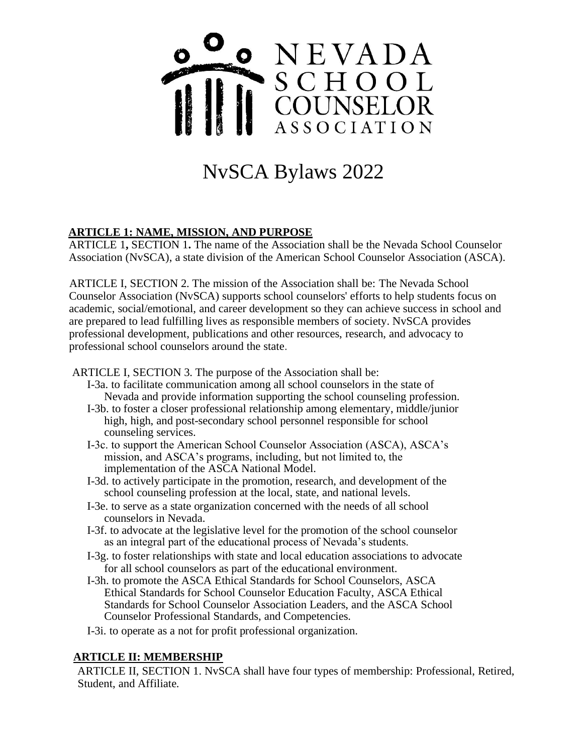

# NvSCA Bylaws 2022

# **ARTICLE 1: NAME, MISSION, AND PURPOSE**

ARTICLE 1**,** SECTION 1**.** The name of the Association shall be the Nevada School Counselor Association (NvSCA), a state division of the American School Counselor Association (ASCA).

ARTICLE I, SECTION 2. The mission of the Association shall be: The Nevada School Counselor Association (NvSCA) supports school counselors' efforts to help students focus on academic, social/emotional, and career development so they can achieve success in school and are prepared to lead fulfilling lives as responsible members of society. NvSCA provides professional development, publications and other resources, research, and advocacy to professional school counselors around the state.

ARTICLE I, SECTION 3. The purpose of the Association shall be:

- I-3a. to facilitate communication among all school counselors in the state of Nevada and provide information supporting the school counseling profession.
- I-3b. to foster a closer professional relationship among elementary, middle/junior high, high, and post-secondary school personnel responsible for school counseling services.
- I-3c. to support the American School Counselor Association (ASCA), ASCA's mission, and ASCA's programs, including, but not limited to, the implementation of the ASCA National Model.
- I-3d. to actively participate in the promotion, research, and development of the school counseling profession at the local, state, and national levels.
- I-3e. to serve as a state organization concerned with the needs of all school counselors in Nevada.
- I-3f. to advocate at the legislative level for the promotion of the school counselor as an integral part of the educational process of Nevada's students.
- I-3g. to foster relationships with state and local education associations to advocate for all school counselors as part of the educational environment.
- I-3h. to promote the ASCA Ethical Standards for School Counselors, ASCA Ethical Standards for School Counselor Education Faculty, ASCA Ethical Standards for School Counselor Association Leaders, and the ASCA School Counselor Professional Standards, and Competencies.

I-3i. to operate as a not for profit professional organization.

#### **ARTICLE II: MEMBERSHIP**

ARTICLE II, SECTION 1. NvSCA shall have four types of membership: Professional, Retired, Student, and Affiliate.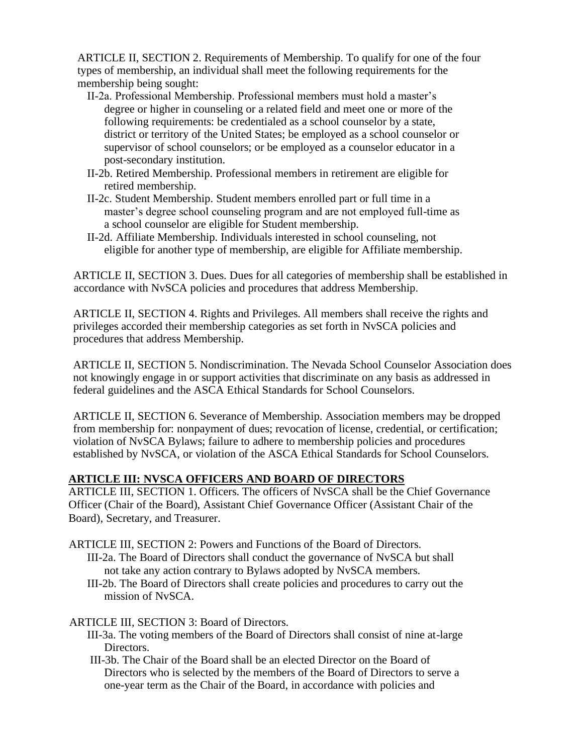ARTICLE II, SECTION 2. Requirements of Membership. To qualify for one of the four types of membership, an individual shall meet the following requirements for the membership being sought:

- II-2a. Professional Membership. Professional members must hold a master's degree or higher in counseling or a related field and meet one or more of the following requirements: be credentialed as a school counselor by a state, district or territory of the United States; be employed as a school counselor or supervisor of school counselors; or be employed as a counselor educator in a post-secondary institution.
- II-2b. Retired Membership. Professional members in retirement are eligible for retired membership.
- II-2c. Student Membership. Student members enrolled part or full time in a master's degree school counseling program and are not employed full-time as a school counselor are eligible for Student membership.
- II-2d. Affiliate Membership. Individuals interested in school counseling, not eligible for another type of membership, are eligible for Affiliate membership.

ARTICLE II, SECTION 3. Dues. Dues for all categories of membership shall be established in accordance with NvSCA policies and procedures that address Membership.

ARTICLE II, SECTION 4. Rights and Privileges. All members shall receive the rights and privileges accorded their membership categories as set forth in NvSCA policies and procedures that address Membership.

ARTICLE II, SECTION 5. Nondiscrimination. The Nevada School Counselor Association does not knowingly engage in or support activities that discriminate on any basis as addressed in federal guidelines and the ASCA Ethical Standards for School Counselors.

ARTICLE II, SECTION 6. Severance of Membership. Association members may be dropped from membership for: nonpayment of dues; revocation of license, credential, or certification; violation of NvSCA Bylaws; failure to adhere to membership policies and procedures established by NvSCA, or violation of the ASCA Ethical Standards for School Counselors.

# **ARTICLE III: NVSCA OFFICERS AND BOARD OF DIRECTORS**

ARTICLE III, SECTION 1. Officers. The officers of NvSCA shall be the Chief Governance Officer (Chair of the Board), Assistant Chief Governance Officer (Assistant Chair of the Board), Secretary, and Treasurer.

ARTICLE III, SECTION 2: Powers and Functions of the Board of Directors.

- III-2a. The Board of Directors shall conduct the governance of NvSCA but shall not take any action contrary to Bylaws adopted by NvSCA members.
- III-2b. The Board of Directors shall create policies and procedures to carry out the mission of NvSCA.

#### ARTICLE III, SECTION 3: Board of Directors.

- III-3a. The voting members of the Board of Directors shall consist of nine at-large Directors.
- III-3b. The Chair of the Board shall be an elected Director on the Board of Directors who is selected by the members of the Board of Directors to serve a one-year term as the Chair of the Board, in accordance with policies and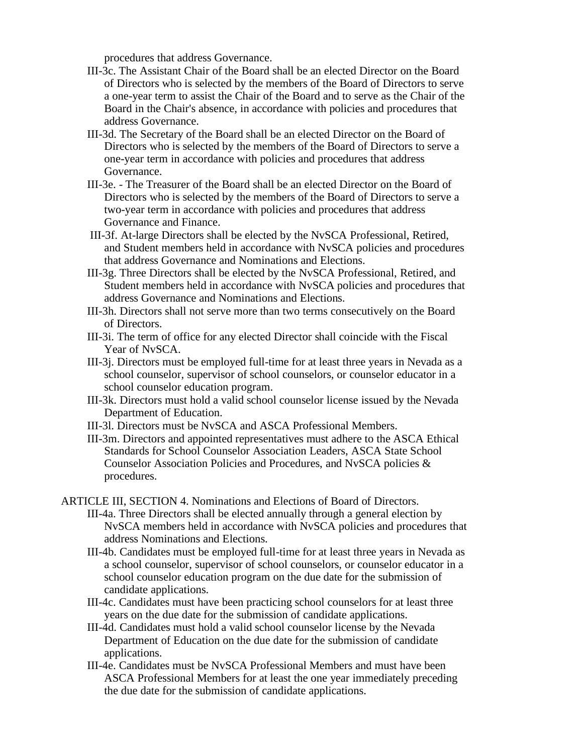procedures that address Governance.

- III-3c. The Assistant Chair of the Board shall be an elected Director on the Board of Directors who is selected by the members of the Board of Directors to serve a one-year term to assist the Chair of the Board and to serve as the Chair of the Board in the Chair's absence, in accordance with policies and procedures that address Governance.
- III-3d. The Secretary of the Board shall be an elected Director on the Board of Directors who is selected by the members of the Board of Directors to serve a one-year term in accordance with policies and procedures that address Governance.
- III-3e. The Treasurer of the Board shall be an elected Director on the Board of Directors who is selected by the members of the Board of Directors to serve a two-year term in accordance with policies and procedures that address Governance and Finance.
- III-3f. At-large Directors shall be elected by the NvSCA Professional, Retired, and Student members held in accordance with NvSCA policies and procedures that address Governance and Nominations and Elections.
- III-3g. Three Directors shall be elected by the NvSCA Professional, Retired, and Student members held in accordance with NvSCA policies and procedures that address Governance and Nominations and Elections.
- III-3h. Directors shall not serve more than two terms consecutively on the Board of Directors.
- III-3i. The term of office for any elected Director shall coincide with the Fiscal Year of NvSCA.
- III-3j. Directors must be employed full-time for at least three years in Nevada as a school counselor, supervisor of school counselors, or counselor educator in a school counselor education program.
- III-3k. Directors must hold a valid school counselor license issued by the Nevada Department of Education.
- III-3l. Directors must be NvSCA and ASCA Professional Members.
- III-3m. Directors and appointed representatives must adhere to the ASCA Ethical Standards for School Counselor Association Leaders, ASCA State School Counselor Association Policies and Procedures, and NvSCA policies & procedures.
- ARTICLE III, SECTION 4. Nominations and Elections of Board of Directors.
	- III-4a. Three Directors shall be elected annually through a general election by NvSCA members held in accordance with NvSCA policies and procedures that address Nominations and Elections.
	- III-4b. Candidates must be employed full-time for at least three years in Nevada as a school counselor, supervisor of school counselors, or counselor educator in a school counselor education program on the due date for the submission of candidate applications.
	- III-4c. Candidates must have been practicing school counselors for at least three years on the due date for the submission of candidate applications.
	- III-4d. Candidates must hold a valid school counselor license by the Nevada Department of Education on the due date for the submission of candidate applications.
	- III-4e. Candidates must be NvSCA Professional Members and must have been ASCA Professional Members for at least the one year immediately preceding the due date for the submission of candidate applications.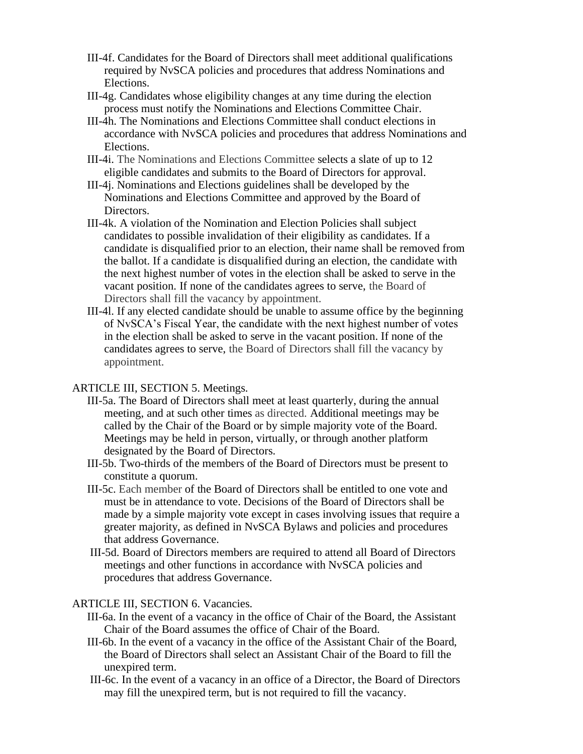- III-4f. Candidates for the Board of Directors shall meet additional qualifications required by NvSCA policies and procedures that address Nominations and Elections.
- III-4g. Candidates whose eligibility changes at any time during the election process must notify the Nominations and Elections Committee Chair.
- III-4h. The Nominations and Elections Committee shall conduct elections in accordance with NvSCA policies and procedures that address Nominations and Elections.
- III-4i. The Nominations and Elections Committee selects a slate of up to 12 eligible candidates and submits to the Board of Directors for approval.
- III-4j. Nominations and Elections guidelines shall be developed by the Nominations and Elections Committee and approved by the Board of Directors.
- III-4k. A violation of the Nomination and Election Policies shall subject candidates to possible invalidation of their eligibility as candidates. If a candidate is disqualified prior to an election, their name shall be removed from the ballot. If a candidate is disqualified during an election, the candidate with the next highest number of votes in the election shall be asked to serve in the vacant position. If none of the candidates agrees to serve, the Board of Directors shall fill the vacancy by appointment.
- III-4l. If any elected candidate should be unable to assume office by the beginning of NvSCA's Fiscal Year, the candidate with the next highest number of votes in the election shall be asked to serve in the vacant position. If none of the candidates agrees to serve, the Board of Directors shall fill the vacancy by appointment.

#### ARTICLE III, SECTION 5. Meetings.

- III-5a. The Board of Directors shall meet at least quarterly, during the annual meeting, and at such other times as directed. Additional meetings may be called by the Chair of the Board or by simple majority vote of the Board. Meetings may be held in person, virtually, or through another platform designated by the Board of Directors.
- III-5b. Two-thirds of the members of the Board of Directors must be present to constitute a quorum.
- III-5c. Each member of the Board of Directors shall be entitled to one vote and must be in attendance to vote. Decisions of the Board of Directors shall be made by a simple majority vote except in cases involving issues that require a greater majority, as defined in NvSCA Bylaws and policies and procedures that address Governance.
- III-5d. Board of Directors members are required to attend all Board of Directors meetings and other functions in accordance with NvSCA policies and procedures that address Governance.

#### ARTICLE III, SECTION 6. Vacancies.

- III-6a. In the event of a vacancy in the office of Chair of the Board, the Assistant Chair of the Board assumes the office of Chair of the Board.
- III-6b. In the event of a vacancy in the office of the Assistant Chair of the Board, the Board of Directors shall select an Assistant Chair of the Board to fill the unexpired term.
- III-6c. In the event of a vacancy in an office of a Director, the Board of Directors may fill the unexpired term, but is not required to fill the vacancy.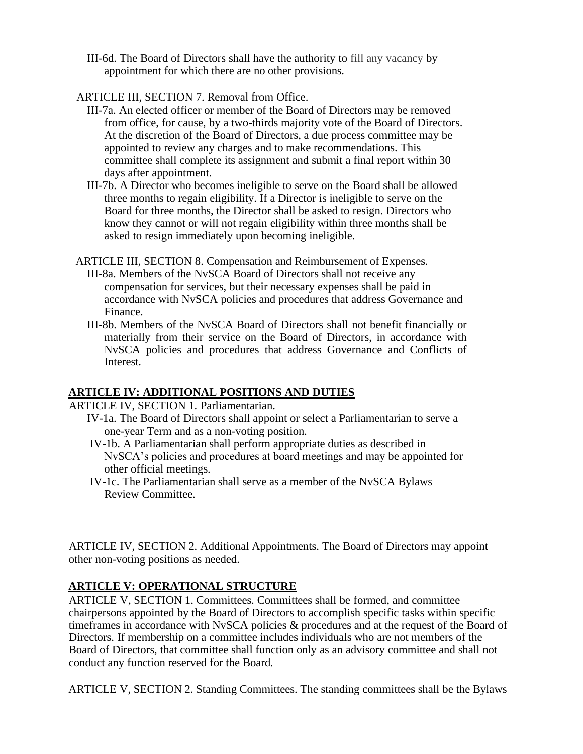III-6d. The Board of Directors shall have the authority to fill any vacancy by appointment for which there are no other provisions.

## ARTICLE III, SECTION 7. Removal from Office.

- III-7a. An elected officer or member of the Board of Directors may be removed from office, for cause, by a two-thirds majority vote of the Board of Directors. At the discretion of the Board of Directors, a due process committee may be appointed to review any charges and to make recommendations. This committee shall complete its assignment and submit a final report within 30 days after appointment.
- III-7b. A Director who becomes ineligible to serve on the Board shall be allowed three months to regain eligibility. If a Director is ineligible to serve on the Board for three months, the Director shall be asked to resign. Directors who know they cannot or will not regain eligibility within three months shall be asked to resign immediately upon becoming ineligible.

ARTICLE III, SECTION 8. Compensation and Reimbursement of Expenses.

- III-8a. Members of the NvSCA Board of Directors shall not receive any compensation for services, but their necessary expenses shall be paid in accordance with NvSCA policies and procedures that address Governance and Finance.
- III-8b. Members of the NvSCA Board of Directors shall not benefit financially or materially from their service on the Board of Directors, in accordance with NvSCA policies and procedures that address Governance and Conflicts of Interest.

# **ARTICLE IV: ADDITIONAL POSITIONS AND DUTIES**

ARTICLE IV, SECTION 1. Parliamentarian.

- IV-1a. The Board of Directors shall appoint or select a Parliamentarian to serve a one-year Term and as a non-voting position.
- IV-1b. A Parliamentarian shall perform appropriate duties as described in NvSCA's policies and procedures at board meetings and may be appointed for other official meetings.
- IV-1c. The Parliamentarian shall serve as a member of the NvSCA Bylaws Review Committee.

ARTICLE IV, SECTION 2. Additional Appointments. The Board of Directors may appoint other non-voting positions as needed.

# **ARTICLE V: OPERATIONAL STRUCTURE**

ARTICLE V, SECTION 1. Committees. Committees shall be formed, and committee chairpersons appointed by the Board of Directors to accomplish specific tasks within specific timeframes in accordance with NvSCA policies & procedures and at the request of the Board of Directors. If membership on a committee includes individuals who are not members of the Board of Directors, that committee shall function only as an advisory committee and shall not conduct any function reserved for the Board.

ARTICLE V, SECTION 2. Standing Committees. The standing committees shall be the Bylaws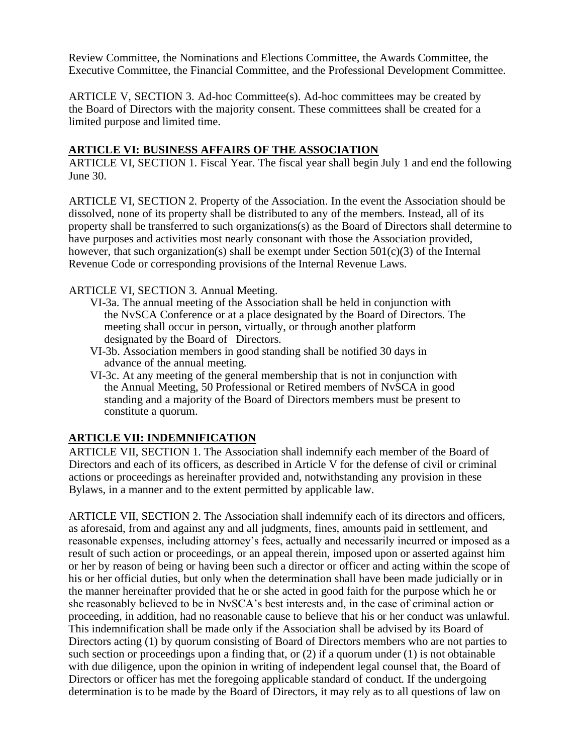Review Committee, the Nominations and Elections Committee, the Awards Committee, the Executive Committee, the Financial Committee, and the Professional Development Committee.

ARTICLE V, SECTION 3. Ad-hoc Committee(s). Ad-hoc committees may be created by the Board of Directors with the majority consent. These committees shall be created for a limited purpose and limited time.

#### **ARTICLE VI: BUSINESS AFFAIRS OF THE ASSOCIATION**

ARTICLE VI, SECTION 1. Fiscal Year. The fiscal year shall begin July 1 and end the following June 30.

ARTICLE VI, SECTION 2. Property of the Association. In the event the Association should be dissolved, none of its property shall be distributed to any of the members. Instead, all of its property shall be transferred to such organizations(s) as the Board of Directors shall determine to have purposes and activities most nearly consonant with those the Association provided, however, that such organization(s) shall be exempt under Section  $501(c)(3)$  of the Internal Revenue Code or corresponding provisions of the Internal Revenue Laws.

#### ARTICLE VI, SECTION 3. Annual Meeting.

- VI-3a. The annual meeting of the Association shall be held in conjunction with the NvSCA Conference or at a place designated by the Board of Directors. The meeting shall occur in person, virtually, or through another platform designated by the Board of Directors.
- VI-3b. Association members in good standing shall be notified 30 days in advance of the annual meeting.
- VI-3c. At any meeting of the general membership that is not in conjunction with the Annual Meeting, 50 Professional or Retired members of NvSCA in good standing and a majority of the Board of Directors members must be present to constitute a quorum.

#### **ARTICLE VII: INDEMNIFICATION**

ARTICLE VII, SECTION 1. The Association shall indemnify each member of the Board of Directors and each of its officers, as described in Article V for the defense of civil or criminal actions or proceedings as hereinafter provided and, notwithstanding any provision in these Bylaws, in a manner and to the extent permitted by applicable law.

ARTICLE VII, SECTION 2. The Association shall indemnify each of its directors and officers, as aforesaid, from and against any and all judgments, fines, amounts paid in settlement, and reasonable expenses, including attorney's fees, actually and necessarily incurred or imposed as a result of such action or proceedings, or an appeal therein, imposed upon or asserted against him or her by reason of being or having been such a director or officer and acting within the scope of his or her official duties, but only when the determination shall have been made judicially or in the manner hereinafter provided that he or she acted in good faith for the purpose which he or she reasonably believed to be in NvSCA's best interests and, in the case of criminal action or proceeding, in addition, had no reasonable cause to believe that his or her conduct was unlawful. This indemnification shall be made only if the Association shall be advised by its Board of Directors acting (1) by quorum consisting of Board of Directors members who are not parties to such section or proceedings upon a finding that, or (2) if a quorum under (1) is not obtainable with due diligence, upon the opinion in writing of independent legal counsel that, the Board of Directors or officer has met the foregoing applicable standard of conduct. If the undergoing determination is to be made by the Board of Directors, it may rely as to all questions of law on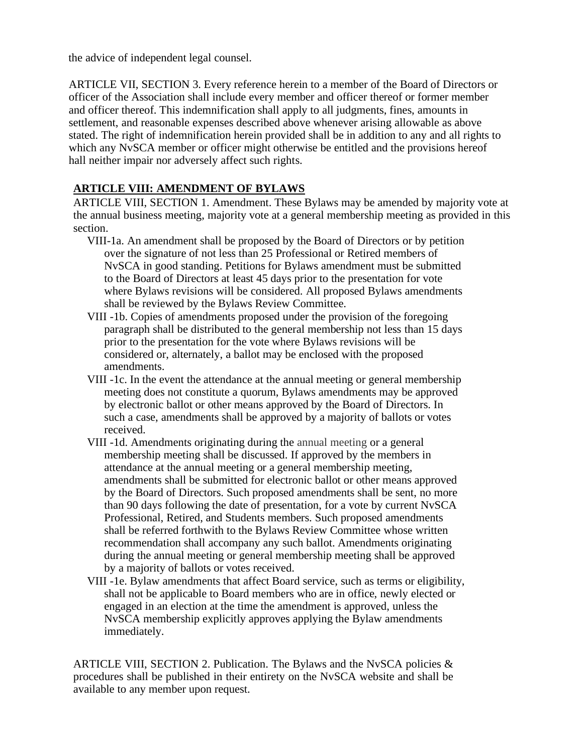the advice of independent legal counsel.

ARTICLE VII, SECTION 3. Every reference herein to a member of the Board of Directors or officer of the Association shall include every member and officer thereof or former member and officer thereof. This indemnification shall apply to all judgments, fines, amounts in settlement, and reasonable expenses described above whenever arising allowable as above stated. The right of indemnification herein provided shall be in addition to any and all rights to which any NvSCA member or officer might otherwise be entitled and the provisions hereof hall neither impair nor adversely affect such rights.

# **ARTICLE VIII: AMENDMENT OF BYLAWS**

ARTICLE VIII, SECTION 1. Amendment. These Bylaws may be amended by majority vote at the annual business meeting, majority vote at a general membership meeting as provided in this section.

- VIII-1a. An amendment shall be proposed by the Board of Directors or by petition over the signature of not less than 25 Professional or Retired members of NvSCA in good standing. Petitions for Bylaws amendment must be submitted to the Board of Directors at least 45 days prior to the presentation for vote where Bylaws revisions will be considered. All proposed Bylaws amendments shall be reviewed by the Bylaws Review Committee.
- VIII -1b. Copies of amendments proposed under the provision of the foregoing paragraph shall be distributed to the general membership not less than 15 days prior to the presentation for the vote where Bylaws revisions will be considered or, alternately, a ballot may be enclosed with the proposed amendments.
- VIII -1c. In the event the attendance at the annual meeting or general membership meeting does not constitute a quorum, Bylaws amendments may be approved by electronic ballot or other means approved by the Board of Directors. In such a case, amendments shall be approved by a majority of ballots or votes received.
- VIII -1d. Amendments originating during the annual meeting or a general membership meeting shall be discussed. If approved by the members in attendance at the annual meeting or a general membership meeting, amendments shall be submitted for electronic ballot or other means approved by the Board of Directors. Such proposed amendments shall be sent, no more than 90 days following the date of presentation, for a vote by current NvSCA Professional, Retired, and Students members. Such proposed amendments shall be referred forthwith to the Bylaws Review Committee whose written recommendation shall accompany any such ballot. Amendments originating during the annual meeting or general membership meeting shall be approved by a majority of ballots or votes received.
- VIII -1e. Bylaw amendments that affect Board service, such as terms or eligibility, shall not be applicable to Board members who are in office, newly elected or engaged in an election at the time the amendment is approved, unless the NvSCA membership explicitly approves applying the Bylaw amendments immediately.

ARTICLE VIII, SECTION 2. Publication. The Bylaws and the NvSCA policies & procedures shall be published in their entirety on the NvSCA website and shall be available to any member upon request.